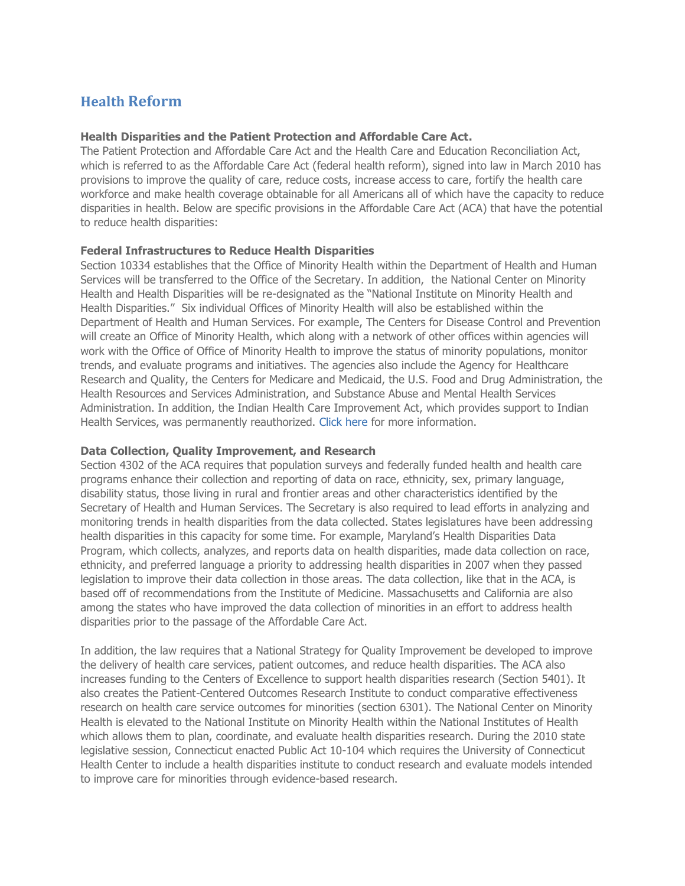# **Health Reform**

## **Health Disparities and the Patient Protection and Affordable Care Act.**

The Patient Protection and Affordable Care Act and the Health Care and Education Reconciliation Act, which is referred to as the Affordable Care Act (federal health reform), signed into law in March 2010 has provisions to improve the quality of care, reduce costs, increase access to care, fortify the health care workforce and make health coverage obtainable for all Americans all of which have the capacity to reduce disparities in health. Below are specific provisions in the Affordable Care Act (ACA) that have the potential to reduce health disparities:

## **Federal Infrastructures to Reduce Health Disparities**

Section 10334 establishes that the Office of Minority Health within the Department of Health and Human Services will be transferred to the Office of the Secretary. In addition, the National Center on Minority Health and Health Disparities will be re-designated as the "National Institute on Minority Health and Health Disparities." Six individual Offices of Minority Health will also be established within the Department of Health and Human Services. For example, The Centers for Disease Control and Prevention will create an Office of Minority Health, which along with a network of other offices within agencies will work with the Office of Office of Minority Health to improve the status of minority populations, monitor trends, and evaluate programs and initiatives. The agencies also include the Agency for Healthcare Research and Quality, the Centers for Medicare and Medicaid, the U.S. Food and Drug Administration, the Health Resources and Services Administration, and Substance Abuse and Mental Health Services Administration. In addition, the Indian Health Care Improvement Act, which provides support to Indian Health Services, was permanently reauthorized. [Click](http://www.ncsl.org/?TabId=17639) here for more information.

#### **Data Collection, Quality Improvement, and Research**

Section 4302 of the ACA requires that population surveys and federally funded health and health care programs enhance their collection and reporting of data on race, ethnicity, sex, primary language, disability status, those living in rural and frontier areas and other characteristics identified by the Secretary of Health and Human Services. The Secretary is also required to lead efforts in analyzing and monitoring trends in health disparities from the data collected. States legislatures have been addressing health disparities in this capacity for some time. For example, Maryland's Health Disparities Data Program, which collects, analyzes, and reports data on health disparities, made data collection on race, ethnicity, and preferred language a priority to addressing health disparities in 2007 when they passed legislation to improve their data collection in those areas. The data collection, like that in the ACA, is based off of recommendations from the Institute of Medicine. Massachusetts and California are also among the states who have improved the data collection of minorities in an effort to address health disparities prior to the passage of the Affordable Care Act.

In addition, the law requires that a National Strategy for Quality Improvement be developed to improve the delivery of health care services, patient outcomes, and reduce health disparities. The ACA also increases funding to the Centers of Excellence to support health disparities research (Section 5401). It also creates the Patient-Centered Outcomes Research Institute to conduct comparative effectiveness research on health care service outcomes for minorities (section 6301). The National Center on Minority Health is elevated to the National Institute on Minority Health within the National Institutes of Health which allows them to plan, coordinate, and evaluate health disparities research. During the 2010 state legislative session, Connecticut enacted Public Act 10-104 which requires the University of Connecticut Health Center to include a health disparities institute to conduct research and evaluate models intended to improve care for minorities through evidence-based research.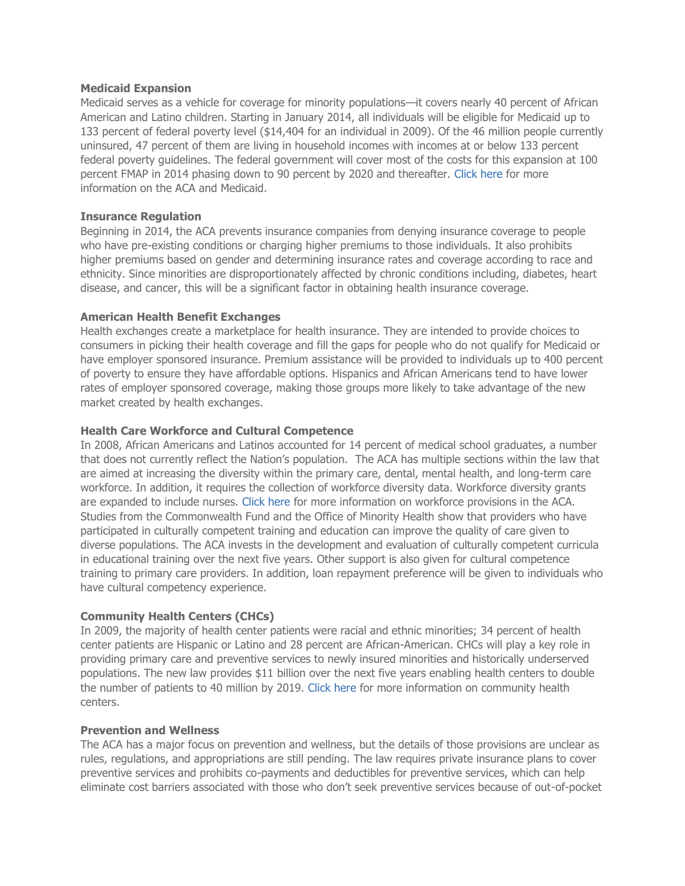## **Medicaid Expansion**

Medicaid serves as a vehicle for coverage for minority populations—it covers nearly 40 percent of African American and Latino children. Starting in January 2014, all individuals will be eligible for Medicaid up to 133 percent of federal poverty level (\$14,404 for an individual in 2009). Of the 46 million people currently uninsured, 47 percent of them are living in household incomes with incomes at or below 133 percent federal poverty guidelines. The federal government will cover most of the costs for this expansion at 100 percent FMAP in 2014 phasing down to 90 percent by 2020 and thereafter. [Click here f](http://www.ncsl.org/Default.aspx?TabID=160&tabs=831,139,1147#1147)or more information on the ACA and Medicaid.

## **Insurance Regulation**

Beginning in 2014, the ACA prevents insurance companies from denying insurance coverage to people who have pre-existing conditions or charging higher premiums to those individuals. It also prohibits higher premiums based on gender and determining insurance rates and coverage according to race and ethnicity. Since minorities are disproportionately affected by chronic conditions including, diabetes, heart disease, and cancer, this will be a significant factor in obtaining health insurance coverage.

## **American Health Benefit Exchanges**

Health exchanges create a marketplace for health insurance. They are intended to provide choices to consumers in picking their health coverage and fill the gaps for people who do not qualify for Medicaid or have employer sponsored insurance. Premium assistance will be provided to individuals up to 400 percent of poverty to ensure they have affordable options. Hispanics and African Americans tend to have lower rates of employer sponsored coverage, making those groups more likely to take advantage of the new market created by health exchanges.

## **Health Care Workforce and Cultural Competence**

In 2008, African Americans and Latinos accounted for 14 percent of medical school graduates, a number that does not currently reflect the Nation's population. The ACA has multiple sections within the law that are aimed at increasing the diversity within the primary care, dental, mental health, and long-term care workforce. In addition, it requires the collection of workforce diversity data. Workforce diversity grants are expanded to include nurses. [Click here](http://www.ncsl.org/default.aspx?tabid=20548%20) for more information on workforce provisions in the ACA. Studies from the Commonwealth Fund and the Office of Minority Health show that providers who have participated in culturally competent training and education can improve the quality of care given to diverse populations. The ACA invests in the development and evaluation of culturally competent curricula in educational training over the next five years. Other support is also given for cultural competence training to primary care providers. In addition, loan repayment preference will be given to individuals who have cultural competency experience.

# **Community Health Centers (CHCs)**

In 2009, the majority of health center patients were racial and ethnic minorities; 34 percent of health center patients are Hispanic or Latino and 28 percent are African-American. CHCs will play a key role in providing primary care and preventive services to newly insured minorities and historically underserved populations. The new law provides \$11 billion over the next five years enabling health centers to double the number of patients to 40 million by 2019. [Click here](http://www.ncsl.org/default.aspx?tabid=14503%20) for more information on community health centers.

#### **Prevention and Wellness**

The ACA has a major focus on prevention and wellness, but the details of those provisions are unclear as rules, regulations, and appropriations are still pending. The law requires private insurance plans to cover preventive services and prohibits co-payments and deductibles for preventive services, which can help eliminate cost barriers associated with those who don't seek preventive services because of out-of-pocket